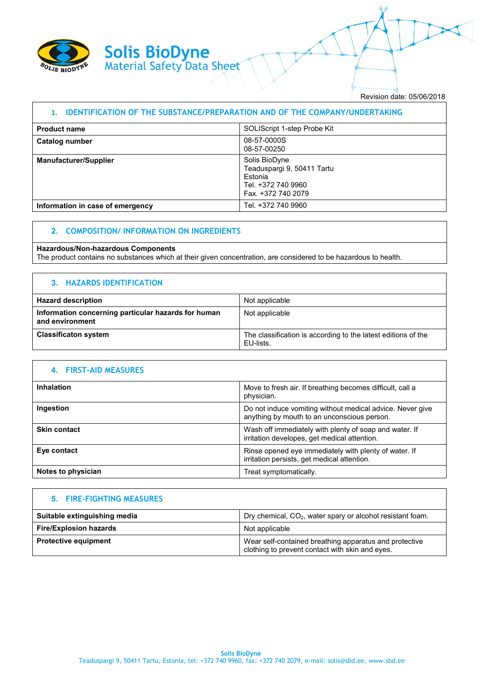

Revision date: 05/06/2018

| <b>IDENTIFICATION OF THE SUBSTANCE/PREPARATION AND OF THE COMPANY/UNDERTAKING</b> |                                                                                                    |
|-----------------------------------------------------------------------------------|----------------------------------------------------------------------------------------------------|
| <b>Product name</b>                                                               | SOLIScript 1-step Probe Kit                                                                        |
| Catalog number                                                                    | 08-57-0000S<br>08-57-00250                                                                         |
| <b>Manufacturer/Supplier</b>                                                      | Solis BioDyne<br>Teaduspargi 9, 50411 Tartu<br>Estonia<br>Tel. +372 740 9960<br>Fax. +372 740 2079 |
| Information in case of emergency                                                  | Tel. +372 740 9960                                                                                 |

### **2. COMPOSITION/ INFORMATION ON INGREDIENTS**

#### **Hazardous/Non-hazardous Components**

The product contains no substances which at their given concentration, are considered to be hazardous to health.

### **3. HAZARDS IDENTIFICATION**

| <b>Hazard description</b>                                              | Not applicable                                                             |
|------------------------------------------------------------------------|----------------------------------------------------------------------------|
| Information concerning particular hazards for human<br>and environment | Not applicable                                                             |
| <b>Classificaton system</b>                                            | The classification is according to the latest editions of the<br>EU-lists. |

| 4. FIRST-AID MEASURES |                                                                                                          |
|-----------------------|----------------------------------------------------------------------------------------------------------|
| Inhalation            | Move to fresh air. If breathing becomes difficult, call a<br>physician.                                  |
| Ingestion             | Do not induce vomiting without medical advice. Never give<br>anything by mouth to an unconscious person. |
| <b>Skin contact</b>   | Wash off immediately with plenty of soap and water. If<br>irritation developes, get medical attention.   |
| Eye contact           | Rinse opened eye immediately with plenty of water. If<br>irritation persists, get medical attention.     |
| Notes to physician    | Treat symptomatically.                                                                                   |

#### **5. FIRE-FIGHTING MEASURES**

| Suitable extinguishing media  | Dry chemical, CO <sub>2</sub> , water spary or alcohol resistant foam.                                    |
|-------------------------------|-----------------------------------------------------------------------------------------------------------|
| <b>Fire/Explosion hazards</b> | Not applicable                                                                                            |
| <b>Protective equipment</b>   | Wear self-contained breathing apparatus and protective<br>clothing to prevent contact with skin and eyes. |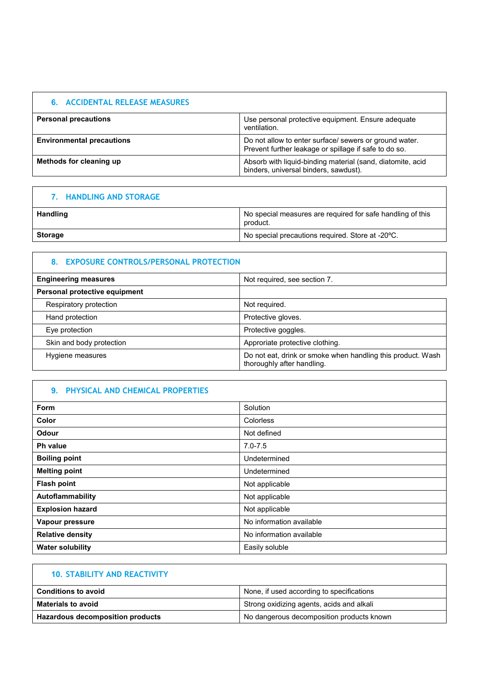|  |  | <b>6. ACCIDENTAL RELEASE MEASURES</b> |
|--|--|---------------------------------------|
|--|--|---------------------------------------|

| <b>Personal precautions</b>      | Use personal protective equipment. Ensure adequate<br>ventilation.                                              |
|----------------------------------|-----------------------------------------------------------------------------------------------------------------|
| <b>Environmental precautions</b> | Do not allow to enter surface/ sewers or ground water.<br>Prevent further leakage or spillage if safe to do so. |
| Methods for cleaning up          | Absorb with liquid-binding material (sand, diatomite, acid<br>binders, universal binders, sawdust).             |

# **7. HANDLING AND STORAGE**

| <b>Handling</b> | No special measures are required for safe handling of this<br>product. |
|-----------------|------------------------------------------------------------------------|
| Storage         | No special precautions required. Store at -20 °C.                      |

## **8. EXPOSURE CONTROLS/PERSONAL PROTECTION**

| <b>Engineering measures</b>   | Not required, see section 7.                                                              |
|-------------------------------|-------------------------------------------------------------------------------------------|
| Personal protective equipment |                                                                                           |
| Respiratory protection        | Not required.                                                                             |
| Hand protection               | Protective gloves.                                                                        |
| Eye protection                | Protective goggles.                                                                       |
| Skin and body protection      | Approriate protective clothing.                                                           |
| Hygiene measures              | Do not eat, drink or smoke when handling this product. Wash<br>thoroughly after handling. |

# **9. PHYSICAL AND CHEMICAL PROPERTIES**

Г

| <b>Form</b>             | Solution                 |
|-------------------------|--------------------------|
| Color                   | Colorless                |
| Odour                   | Not defined              |
| <b>Ph value</b>         | $7.0 - 7.5$              |
| <b>Boiling point</b>    | Undetermined             |
| <b>Melting point</b>    | Undetermined             |
| <b>Flash point</b>      | Not applicable           |
| Autoflammability        | Not applicable           |
| <b>Explosion hazard</b> | Not applicable           |
| Vapour pressure         | No information available |
| <b>Relative density</b> | No information available |
| <b>Water solubility</b> | Easily soluble           |

| <b>10. STABILITY AND REACTIVITY</b>     |                                           |
|-----------------------------------------|-------------------------------------------|
| <b>Conditions to avoid</b>              | None, if used according to specifications |
| <b>Materials to avoid</b>               | Strong oxidizing agents, acids and alkali |
| <b>Hazardous decomposition products</b> | No dangerous decomposition products known |

٦